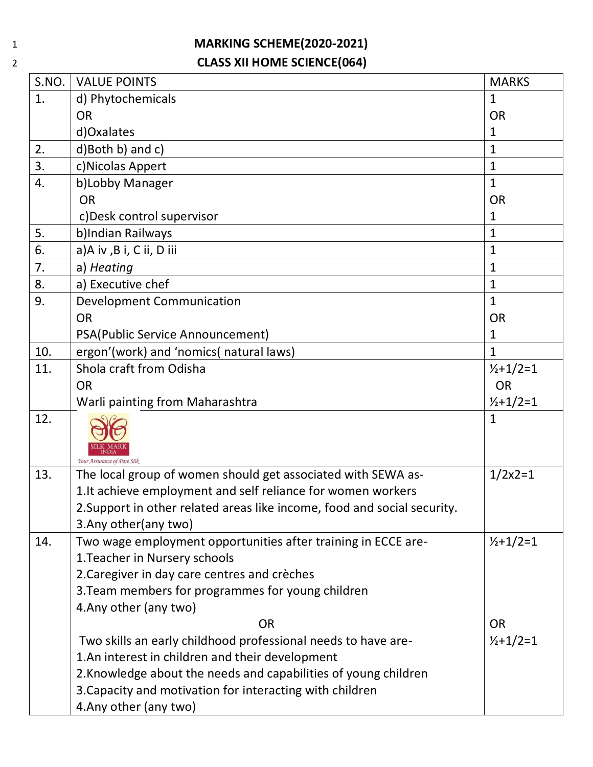## 1 **MARKING SCHEME(2020-2021)** 2 **CLASS XII HOME SCIENCE(064)**

| S.NO. | <b>VALUE POINTS</b>                                                      | <b>MARKS</b>        |
|-------|--------------------------------------------------------------------------|---------------------|
| 1.    | d) Phytochemicals                                                        | $\mathbf{1}$        |
|       | <b>OR</b>                                                                | <b>OR</b>           |
|       | d)Oxalates                                                               | 1                   |
| 2.    | d)Both b) and c)                                                         | $\mathbf{1}$        |
| 3.    | c) Nicolas Appert                                                        | $\mathbf{1}$        |
| 4.    | b)Lobby Manager                                                          | $\mathbf{1}$        |
|       | <b>OR</b>                                                                | <b>OR</b>           |
|       | c) Desk control supervisor                                               | 1                   |
| 5.    | b)Indian Railways                                                        | 1                   |
| 6.    | a)A iv ,B i, C ii, D iii                                                 | 1                   |
| 7.    | a) Heating                                                               | $\mathbf{1}$        |
| 8.    | a) Executive chef                                                        | $\mathbf{1}$        |
| 9.    | <b>Development Communication</b>                                         | $\mathbf{1}$        |
|       | <b>OR</b>                                                                | <b>OR</b>           |
|       | PSA(Public Service Announcement)                                         | 1                   |
| 10.   | ergon'(work) and 'nomics( natural laws)                                  | $\mathbf{1}$        |
| 11.   | Shola craft from Odisha                                                  | $\frac{1}{2}+1/2=1$ |
|       | <b>OR</b>                                                                | <b>OR</b>           |
|       | Warli painting from Maharashtra                                          | $\frac{1}{2}+1/2=1$ |
| 12.   | Your Assurance of Pure Silk                                              | $\mathbf{1}$        |
| 13.   | The local group of women should get associated with SEWA as-             | $1/2x^2=1$          |
|       | 1. It achieve employment and self reliance for women workers             |                     |
|       | 2. Support in other related areas like income, food and social security. |                     |
|       | 3. Any other (any two)                                                   |                     |
| 14.   | Two wage employment opportunities after training in ECCE are-            | $\frac{1}{2}+1/2=1$ |
|       | 1. Teacher in Nursery schools                                            |                     |
|       | 2. Caregiver in day care centres and crèches                             |                     |
|       | 3. Team members for programmes for young children                        |                     |
|       | 4. Any other (any two)                                                   |                     |
|       | <b>OR</b>                                                                | <b>OR</b>           |
|       | Two skills an early childhood professional needs to have are-            | $\frac{1}{2}+1/2=1$ |
|       | 1.An interest in children and their development                          |                     |
|       | 2. Knowledge about the needs and capabilities of young children          |                     |
|       | 3. Capacity and motivation for interacting with children                 |                     |
|       | 4. Any other (any two)                                                   |                     |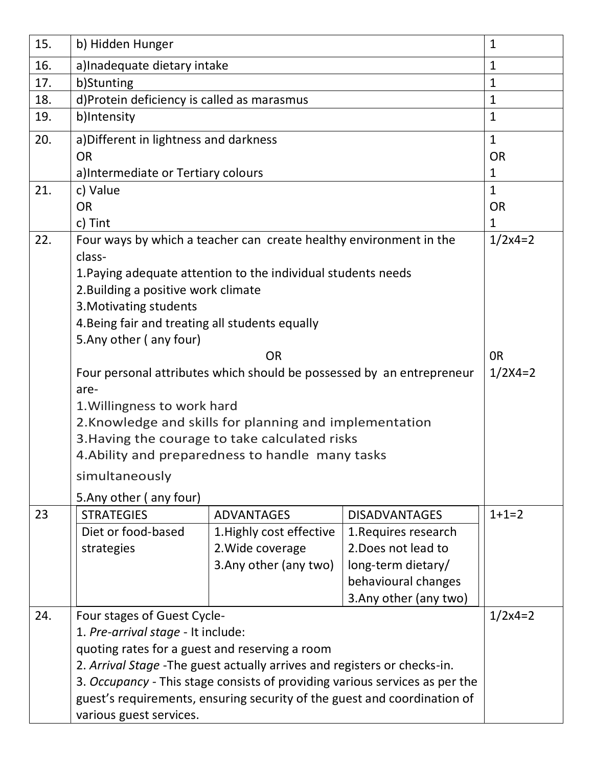| 15. | b) Hidden Hunger                                                                                   |                                                                    |                        | $\mathbf{1}$   |
|-----|----------------------------------------------------------------------------------------------------|--------------------------------------------------------------------|------------------------|----------------|
| 16. | a) Inadequate dietary intake                                                                       |                                                                    |                        | 1              |
| 17. | b)Stunting                                                                                         |                                                                    |                        | $\mathbf{1}$   |
| 18. | d)Protein deficiency is called as marasmus                                                         |                                                                    |                        | $\mathbf{1}$   |
| 19. | b)Intensity                                                                                        |                                                                    |                        | $\mathbf{1}$   |
| 20. | a) Different in lightness and darkness                                                             |                                                                    |                        | $\mathbf{1}$   |
|     | <b>OR</b>                                                                                          |                                                                    |                        | <b>OR</b>      |
|     | a) Intermediate or Tertiary colours                                                                |                                                                    |                        | $\mathbf{1}$   |
| 21. | c) Value                                                                                           |                                                                    |                        | $\mathbf{1}$   |
|     | <b>OR</b>                                                                                          |                                                                    |                        | <b>OR</b>      |
|     | c) Tint                                                                                            |                                                                    |                        | $\mathbf{1}$   |
| 22. |                                                                                                    | Four ways by which a teacher can create healthy environment in the |                        | $1/2x4=2$      |
|     | class-                                                                                             |                                                                    |                        |                |
|     |                                                                                                    | 1. Paying adequate attention to the individual students needs      |                        |                |
|     | 2. Building a positive work climate                                                                |                                                                    |                        |                |
|     | 3. Motivating students                                                                             |                                                                    |                        |                |
|     | 4. Being fair and treating all students equally                                                    |                                                                    |                        |                |
|     | 5. Any other (any four)                                                                            |                                                                    |                        |                |
|     |                                                                                                    | <b>OR</b>                                                          |                        | 0 <sub>R</sub> |
|     | Four personal attributes which should be possessed by an entrepreneur                              |                                                                    |                        | $1/2X4=2$      |
|     | are-                                                                                               |                                                                    |                        |                |
|     | 1. Willingness to work hard                                                                        |                                                                    |                        |                |
|     | 2. Knowledge and skills for planning and implementation                                            |                                                                    |                        |                |
|     | 3. Having the courage to take calculated risks<br>4. Ability and preparedness to handle many tasks |                                                                    |                        |                |
|     | simultaneously                                                                                     |                                                                    |                        |                |
|     | 5. Any other (any four)                                                                            |                                                                    |                        |                |
| 23  | <b>STRATEGIES</b>                                                                                  | <b>ADVANTAGES</b>                                                  | <b>DISADVANTAGES</b>   | $1+1=2$        |
|     | Diet or food-based                                                                                 | 1. Highly cost effective                                           | 1. Requires research   |                |
|     | strategies                                                                                         | 2. Wide coverage                                                   | 2. Does not lead to    |                |
|     |                                                                                                    | 3. Any other (any two)                                             | long-term dietary/     |                |
|     |                                                                                                    |                                                                    | behavioural changes    |                |
|     |                                                                                                    |                                                                    | 3. Any other (any two) |                |
| 24. | Four stages of Guest Cycle-                                                                        |                                                                    |                        | $1/2x4=2$      |
|     | 1. Pre-arrival stage - It include:                                                                 |                                                                    |                        |                |
|     | quoting rates for a guest and reserving a room                                                     |                                                                    |                        |                |
|     | 2. Arrival Stage - The guest actually arrives and registers or checks-in.                          |                                                                    |                        |                |
|     | 3. Occupancy - This stage consists of providing various services as per the                        |                                                                    |                        |                |
|     | guest's requirements, ensuring security of the guest and coordination of                           |                                                                    |                        |                |
|     | various guest services.                                                                            |                                                                    |                        |                |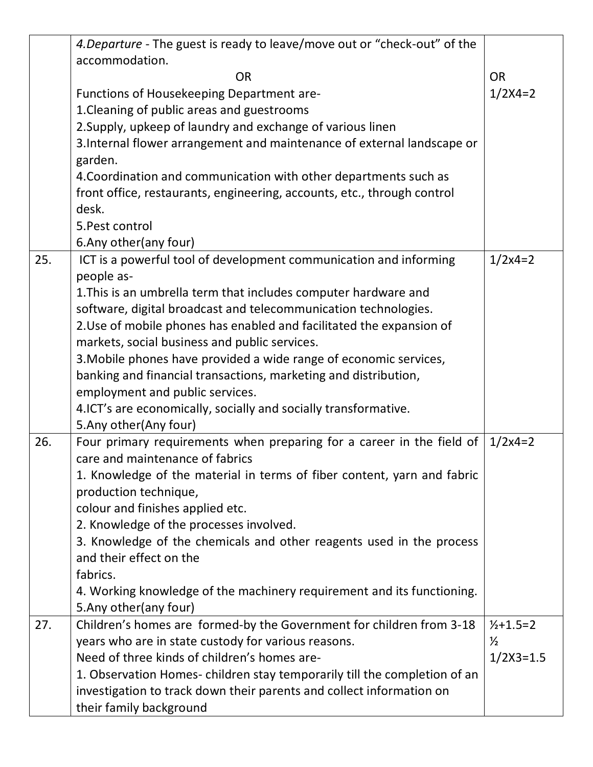|     | 4. Departure - The guest is ready to leave/move out or "check-out" of the |               |
|-----|---------------------------------------------------------------------------|---------------|
|     | accommodation.                                                            |               |
|     | <b>OR</b>                                                                 | <b>OR</b>     |
|     | Functions of Housekeeping Department are-                                 | $1/2X4=2$     |
|     | 1. Cleaning of public areas and guestrooms                                |               |
|     | 2. Supply, upkeep of laundry and exchange of various linen                |               |
|     | 3. Internal flower arrangement and maintenance of external landscape or   |               |
|     | garden.                                                                   |               |
|     | 4. Coordination and communication with other departments such as          |               |
|     | front office, restaurants, engineering, accounts, etc., through control   |               |
|     | desk.                                                                     |               |
|     | 5. Pest control                                                           |               |
|     | 6. Any other (any four)                                                   |               |
| 25. | ICT is a powerful tool of development communication and informing         | $1/2x4=2$     |
|     | people as-                                                                |               |
|     | 1. This is an umbrella term that includes computer hardware and           |               |
|     | software, digital broadcast and telecommunication technologies.           |               |
|     | 2. Use of mobile phones has enabled and facilitated the expansion of      |               |
|     | markets, social business and public services.                             |               |
|     | 3. Mobile phones have provided a wide range of economic services,         |               |
|     | banking and financial transactions, marketing and distribution,           |               |
|     | employment and public services.                                           |               |
|     | 4. ICT's are economically, socially and socially transformative.          |               |
|     | 5. Any other (Any four)                                                   |               |
| 26. | Four primary requirements when preparing for a career in the field of     | $1/2x4=2$     |
|     | care and maintenance of fabrics                                           |               |
|     | 1. Knowledge of the material in terms of fiber content, yarn and fabric   |               |
|     | production technique,                                                     |               |
|     | colour and finishes applied etc.                                          |               |
|     | 2. Knowledge of the processes involved.                                   |               |
|     | 3. Knowledge of the chemicals and other reagents used in the process      |               |
|     | and their effect on the                                                   |               |
|     | fabrics.                                                                  |               |
|     | 4. Working knowledge of the machinery requirement and its functioning.    |               |
|     | 5. Any other (any four)                                                   |               |
| 27. | Children's homes are formed-by the Government for children from 3-18      | $1/2+1.5=2$   |
|     | years who are in state custody for various reasons.                       | $\frac{1}{2}$ |
|     | Need of three kinds of children's homes are-                              | $1/2X3=1.5$   |
|     | 1. Observation Homes-children stay temporarily till the completion of an  |               |
|     | investigation to track down their parents and collect information on      |               |
|     | their family background                                                   |               |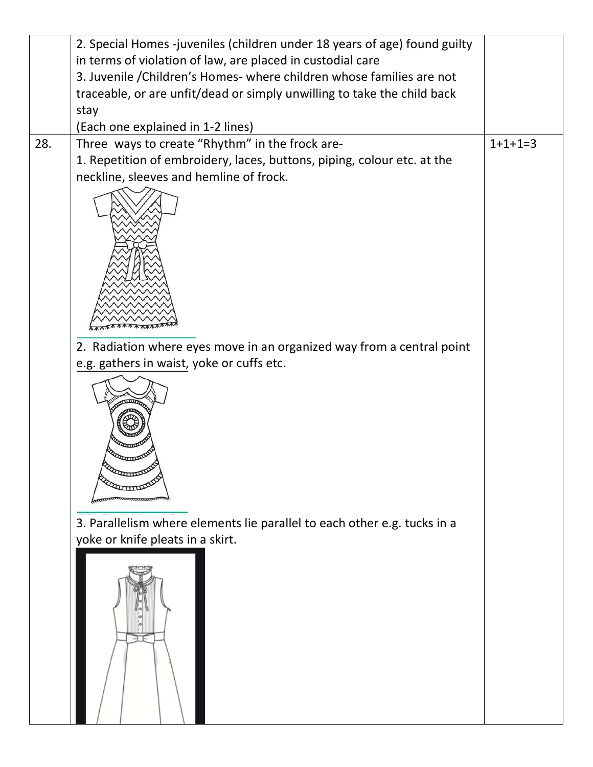|     | 2. Special Homes -juveniles (children under 18 years of age) found guilty |           |
|-----|---------------------------------------------------------------------------|-----------|
|     | in terms of violation of law, are placed in custodial care                |           |
|     | 3. Juvenile / Children's Homes- where children whose families are not     |           |
|     | traceable, or are unfit/dead or simply unwilling to take the child back   |           |
|     | stay                                                                      |           |
|     | (Each one explained in 1-2 lines)                                         |           |
| 28. | Three ways to create "Rhythm" in the frock are-                           | $1+1+1=3$ |
|     | 1. Repetition of embroidery, laces, buttons, piping, colour etc. at the   |           |
|     | neckline, sleeves and hemline of frock.                                   |           |
|     |                                                                           |           |
|     |                                                                           |           |
|     |                                                                           |           |
|     |                                                                           |           |
|     |                                                                           |           |
|     |                                                                           |           |
|     |                                                                           |           |
|     |                                                                           |           |
|     |                                                                           |           |
|     | 2. Radiation where eyes move in an organized way from a central point     |           |
|     | e.g. gathers in waist, yoke or cuffs etc.                                 |           |
|     |                                                                           |           |
|     | 3. Parallelism where elements lie parallel to each other e.g. tucks in a  |           |
|     | yoke or knife pleats in a skirt.                                          |           |
|     |                                                                           |           |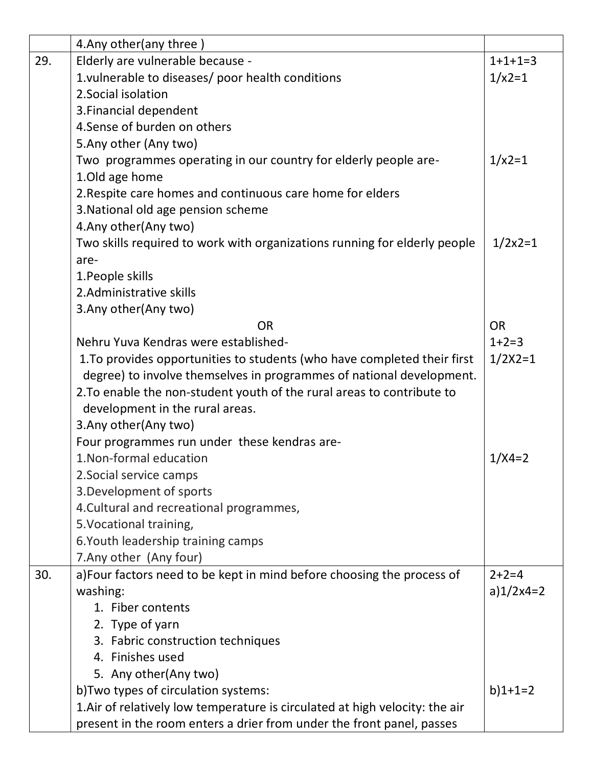|     | 4. Any other (any three)                                                     |              |
|-----|------------------------------------------------------------------------------|--------------|
| 29. | Elderly are vulnerable because -                                             | $1+1+1=3$    |
|     | 1. vulnerable to diseases/ poor health conditions                            | $1/x2=1$     |
|     | 2. Social isolation                                                          |              |
|     | 3. Financial dependent                                                       |              |
|     | 4. Sense of burden on others                                                 |              |
|     | 5. Any other (Any two)                                                       |              |
|     | Two programmes operating in our country for elderly people are-              | $1/x2=1$     |
|     | 1.0ld age home                                                               |              |
|     | 2. Respite care homes and continuous care home for elders                    |              |
|     | 3. National old age pension scheme                                           |              |
|     | 4. Any other (Any two)                                                       |              |
|     | Two skills required to work with organizations running for elderly people    | $1/2x2=1$    |
|     | are-                                                                         |              |
|     | 1. People skills                                                             |              |
|     | 2. Administrative skills                                                     |              |
|     | 3. Any other (Any two)                                                       |              |
|     | <b>OR</b>                                                                    | <b>OR</b>    |
|     | Nehru Yuva Kendras were established-                                         | $1+2=3$      |
|     | 1. To provides opportunities to students (who have completed their first     | $1/2X2=1$    |
|     | degree) to involve themselves in programmes of national development.         |              |
|     | 2. To enable the non-student youth of the rural areas to contribute to       |              |
|     | development in the rural areas.                                              |              |
|     | 3. Any other (Any two)                                                       |              |
|     | Four programmes run under these kendras are-                                 |              |
|     | 1. Non-formal education                                                      | $1/X4=2$     |
|     | 2. Social service camps                                                      |              |
|     | 3. Development of sports                                                     |              |
|     | 4. Cultural and recreational programmes,                                     |              |
|     | 5. Vocational training,                                                      |              |
|     | 6. Youth leadership training camps                                           |              |
|     | 7. Any other (Any four)                                                      |              |
| 30. | a) Four factors need to be kept in mind before choosing the process of       | $2+2=4$      |
|     | washing:                                                                     | a) $1/2x4=2$ |
|     | 1. Fiber contents                                                            |              |
|     | 2. Type of yarn                                                              |              |
|     | 3. Fabric construction techniques                                            |              |
|     | 4. Finishes used                                                             |              |
|     | 5. Any other (Any two)                                                       |              |
|     | b) Two types of circulation systems:                                         | $b)$ 1+1=2   |
|     | 1. Air of relatively low temperature is circulated at high velocity: the air |              |
|     | present in the room enters a drier from under the front panel, passes        |              |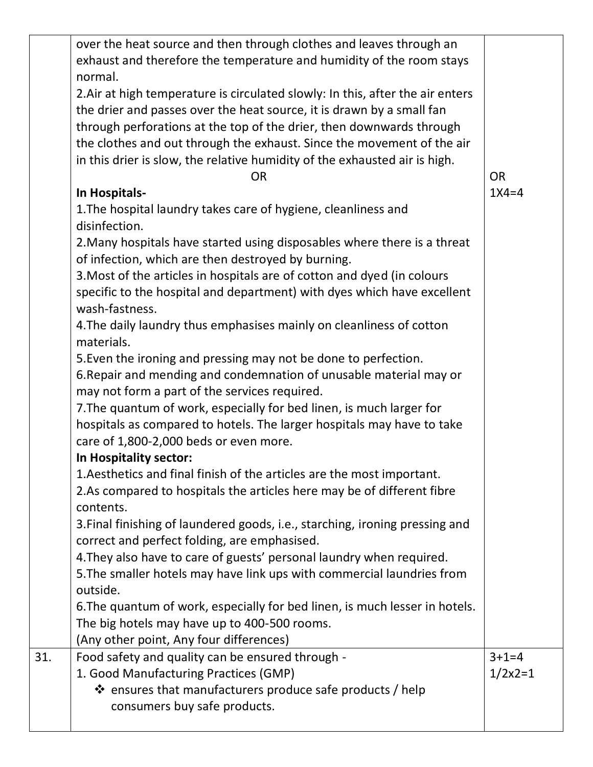|     | over the heat source and then through clothes and leaves through an<br>exhaust and therefore the temperature and humidity of the room stays<br>normal.<br>2. Air at high temperature is circulated slowly: In this, after the air enters<br>the drier and passes over the heat source, it is drawn by a small fan |            |
|-----|-------------------------------------------------------------------------------------------------------------------------------------------------------------------------------------------------------------------------------------------------------------------------------------------------------------------|------------|
|     | through perforations at the top of the drier, then downwards through<br>the clothes and out through the exhaust. Since the movement of the air<br>in this drier is slow, the relative humidity of the exhausted air is high.<br><b>OR</b>                                                                         | <b>OR</b>  |
|     | In Hospitals-<br>1. The hospital laundry takes care of hygiene, cleanliness and<br>disinfection.                                                                                                                                                                                                                  | $1X4=4$    |
|     | 2. Many hospitals have started using disposables where there is a threat<br>of infection, which are then destroyed by burning.<br>3. Most of the articles in hospitals are of cotton and dyed (in colours                                                                                                         |            |
|     | specific to the hospital and department) with dyes which have excellent<br>wash-fastness.<br>4. The daily laundry thus emphasises mainly on cleanliness of cotton<br>materials.                                                                                                                                   |            |
|     | 5. Even the ironing and pressing may not be done to perfection.<br>6. Repair and mending and condemnation of unusable material may or<br>may not form a part of the services required.                                                                                                                            |            |
|     | 7. The quantum of work, especially for bed linen, is much larger for<br>hospitals as compared to hotels. The larger hospitals may have to take<br>care of 1,800-2,000 beds or even more.                                                                                                                          |            |
|     | In Hospitality sector:<br>1. Aesthetics and final finish of the articles are the most important.<br>2.As compared to hospitals the articles here may be of different fibre<br>contents.                                                                                                                           |            |
|     | 3. Final finishing of laundered goods, i.e., starching, ironing pressing and<br>correct and perfect folding, are emphasised.<br>4. They also have to care of guests' personal laundry when required.                                                                                                              |            |
|     | 5. The smaller hotels may have link ups with commercial laundries from<br>outside.<br>6. The quantum of work, especially for bed linen, is much lesser in hotels.                                                                                                                                                 |            |
| 31. | The big hotels may have up to 400-500 rooms.<br>(Any other point, Any four differences)                                                                                                                                                                                                                           | $3+1=4$    |
|     | Food safety and quality can be ensured through -<br>1. Good Manufacturing Practices (GMP)<br>$\clubsuit$ ensures that manufacturers produce safe products / help<br>consumers buy safe products.                                                                                                                  | $1/2x^2=1$ |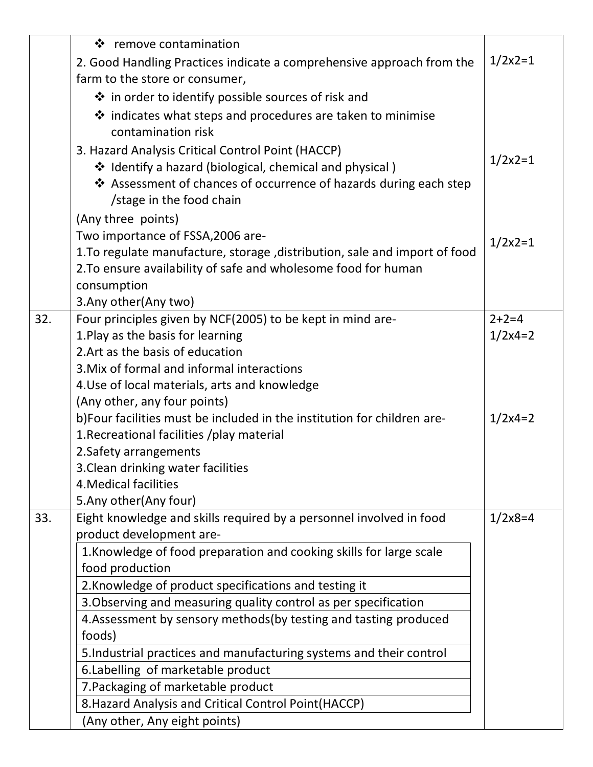|     | ❖ remove contamination                                                     |            |
|-----|----------------------------------------------------------------------------|------------|
|     | 2. Good Handling Practices indicate a comprehensive approach from the      | $1/2x2=1$  |
|     | farm to the store or consumer,                                             |            |
|     | ❖ in order to identify possible sources of risk and                        |            |
|     | $\clubsuit$ indicates what steps and procedures are taken to minimise      |            |
|     | contamination risk                                                         |            |
|     | 3. Hazard Analysis Critical Control Point (HACCP)                          |            |
|     | ❖ Identify a hazard (biological, chemical and physical)                    | $1/2x^2=1$ |
|     | ❖ Assessment of chances of occurrence of hazards during each step          |            |
|     | /stage in the food chain                                                   |            |
|     | (Any three points)                                                         |            |
|     | Two importance of FSSA, 2006 are-                                          | $1/2x^2=1$ |
|     | 1. To regulate manufacture, storage, distribution, sale and import of food |            |
|     | 2. To ensure availability of safe and wholesome food for human             |            |
|     | consumption                                                                |            |
|     | 3. Any other (Any two)                                                     |            |
| 32. | Four principles given by NCF(2005) to be kept in mind are-                 | $2+2=4$    |
|     | 1. Play as the basis for learning                                          | $1/2x4=2$  |
|     | 2. Art as the basis of education                                           |            |
|     | 3. Mix of formal and informal interactions                                 |            |
|     | 4. Use of local materials, arts and knowledge                              |            |
|     | (Any other, any four points)                                               |            |
|     | b)Four facilities must be included in the institution for children are-    | $1/2x4=2$  |
|     | 1. Recreational facilities /play material                                  |            |
|     | 2. Safety arrangements                                                     |            |
|     | 3. Clean drinking water facilities                                         |            |
|     | 4. Medical facilities<br>5.Any other(Any four)                             |            |
| 33. | Eight knowledge and skills required by a personnel involved in food        | $1/2x8=4$  |
|     | product development are-                                                   |            |
|     | 1. Knowledge of food preparation and cooking skills for large scale        |            |
|     | food production                                                            |            |
|     | 2. Knowledge of product specifications and testing it                      |            |
|     | 3. Observing and measuring quality control as per specification            |            |
|     | 4. Assessment by sensory methods (by testing and tasting produced          |            |
|     | foods)                                                                     |            |
|     | 5. Industrial practices and manufacturing systems and their control        |            |
|     | 6. Labelling of marketable product                                         |            |
|     | 7. Packaging of marketable product                                         |            |
|     | 8. Hazard Analysis and Critical Control Point (HACCP)                      |            |
|     | (Any other, Any eight points)                                              |            |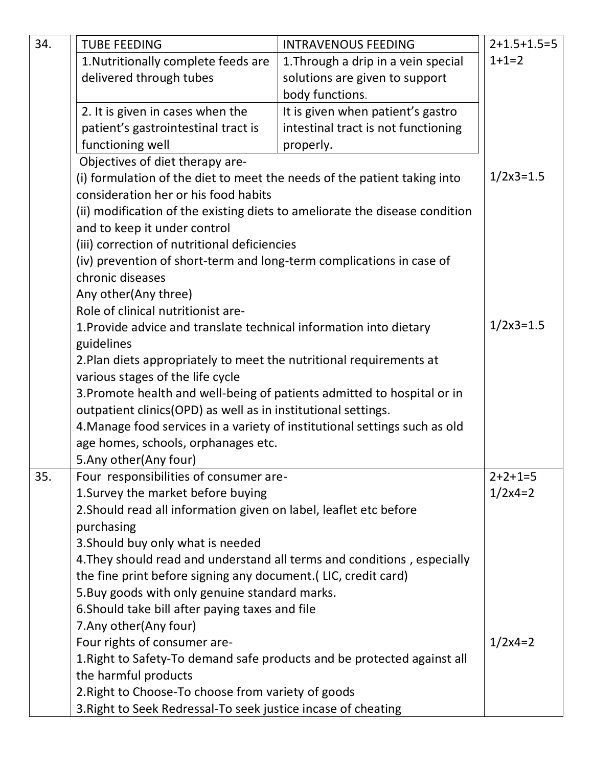| 34. | <b>TUBE FEEDING</b>                                                         | <b>INTRAVENOUS FEEDING</b>          | $2+1.5+1.5=5$ |
|-----|-----------------------------------------------------------------------------|-------------------------------------|---------------|
|     | 1. Nutritionally complete feeds are                                         | 1. Through a drip in a vein special | $1+1=2$       |
|     | delivered through tubes                                                     | solutions are given to support      |               |
|     |                                                                             | body functions.                     |               |
|     | 2. It is given in cases when the                                            | It is given when patient's gastro   |               |
|     | patient's gastrointestinal tract is                                         | intestinal tract is not functioning |               |
|     | functioning well                                                            | properly.                           |               |
|     | Objectives of diet therapy are-                                             |                                     |               |
|     | (i) formulation of the diet to meet the needs of the patient taking into    |                                     | $1/2x3=1.5$   |
|     | consideration her or his food habits                                        |                                     |               |
|     | (ii) modification of the existing diets to ameliorate the disease condition |                                     |               |
|     | and to keep it under control                                                |                                     |               |
|     | (iii) correction of nutritional deficiencies                                |                                     |               |
|     | (iv) prevention of short-term and long-term complications in case of        |                                     |               |
|     | chronic diseases                                                            |                                     |               |
|     | Any other(Any three)                                                        |                                     |               |
|     | Role of clinical nutritionist are-                                          |                                     |               |
|     | 1. Provide advice and translate technical information into dietary          |                                     | $1/2x3=1.5$   |
|     | guidelines                                                                  |                                     |               |
|     | 2. Plan diets appropriately to meet the nutritional requirements at         |                                     |               |
|     | various stages of the life cycle                                            |                                     |               |
|     | 3. Promote health and well-being of patients admitted to hospital or in     |                                     |               |
|     | outpatient clinics(OPD) as well as in institutional settings.               |                                     |               |
|     | 4. Manage food services in a variety of institutional settings such as old  |                                     |               |
|     | age homes, schools, orphanages etc.                                         |                                     |               |
|     | 5. Any other (Any four)                                                     |                                     |               |
| 35. | Four responsibilities of consumer are-                                      |                                     | $2+2+1=5$     |
|     | 1. Survey the market before buying                                          |                                     | $1/2x4=2$     |
|     | 2. Should read all information given on label, leaflet etc before           |                                     |               |
|     | purchasing                                                                  |                                     |               |
|     | 3. Should buy only what is needed                                           |                                     |               |
|     | 4. They should read and understand all terms and conditions, especially     |                                     |               |
|     | the fine print before signing any document. (LIC, credit card)              |                                     |               |
|     | 5. Buy goods with only genuine standard marks.                              |                                     |               |
|     | 6. Should take bill after paying taxes and file                             |                                     |               |
|     | 7. Any other (Any four)                                                     |                                     |               |
|     | Four rights of consumer are-                                                |                                     | $1/2x4=2$     |
|     | 1. Right to Safety-To demand safe products and be protected against all     |                                     |               |
|     | the harmful products                                                        |                                     |               |
|     | 2. Right to Choose-To choose from variety of goods                          |                                     |               |
|     | 3. Right to Seek Redressal-To seek justice incase of cheating               |                                     |               |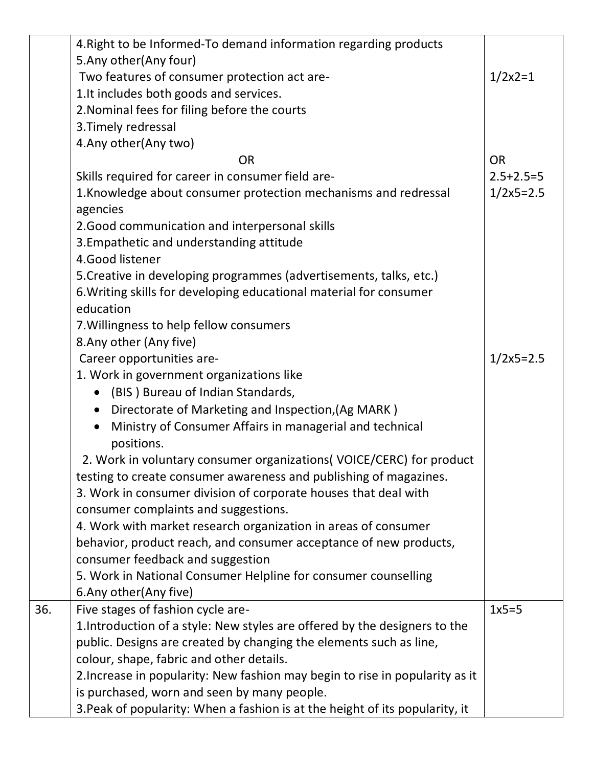|     | 4. Right to be Informed-To demand information regarding products             |                 |
|-----|------------------------------------------------------------------------------|-----------------|
|     | 5. Any other (Any four)                                                      |                 |
|     | Two features of consumer protection act are-                                 | $1/2x2=1$       |
|     | 1.It includes both goods and services.                                       |                 |
|     | 2. Nominal fees for filing before the courts                                 |                 |
|     | 3. Timely redressal                                                          |                 |
|     | 4. Any other (Any two)                                                       |                 |
|     | <b>OR</b>                                                                    | <b>OR</b>       |
|     | Skills required for career in consumer field are-                            | $2.5 + 2.5 = 5$ |
|     | 1. Knowledge about consumer protection mechanisms and redressal              | $1/2x5=2.5$     |
|     | agencies                                                                     |                 |
|     | 2. Good communication and interpersonal skills                               |                 |
|     | 3. Empathetic and understanding attitude                                     |                 |
|     | 4.Good listener                                                              |                 |
|     | 5. Creative in developing programmes (advertisements, talks, etc.)           |                 |
|     | 6. Writing skills for developing educational material for consumer           |                 |
|     | education                                                                    |                 |
|     | 7. Willingness to help fellow consumers                                      |                 |
|     | 8. Any other (Any five)                                                      |                 |
|     | Career opportunities are-                                                    | $1/2x5=2.5$     |
|     | 1. Work in government organizations like                                     |                 |
|     | (BIS) Bureau of Indian Standards,<br>$\bullet$                               |                 |
|     | Directorate of Marketing and Inspection, (Ag MARK)<br>$\bullet$              |                 |
|     | Ministry of Consumer Affairs in managerial and technical<br>$\bullet$        |                 |
|     | positions.                                                                   |                 |
|     | 2. Work in voluntary consumer organizations (VOICE/CERC) for product         |                 |
|     | testing to create consumer awareness and publishing of magazines.            |                 |
|     | 3. Work in consumer division of corporate houses that deal with              |                 |
|     | consumer complaints and suggestions.                                         |                 |
|     | 4. Work with market research organization in areas of consumer               |                 |
|     | behavior, product reach, and consumer acceptance of new products,            |                 |
|     | consumer feedback and suggestion                                             |                 |
|     | 5. Work in National Consumer Helpline for consumer counselling               |                 |
|     | 6. Any other (Any five)                                                      |                 |
| 36. | Five stages of fashion cycle are-                                            | $1x5=5$         |
|     | 1. Introduction of a style: New styles are offered by the designers to the   |                 |
|     | public. Designs are created by changing the elements such as line,           |                 |
|     | colour, shape, fabric and other details.                                     |                 |
|     | 2. Increase in popularity: New fashion may begin to rise in popularity as it |                 |
|     | is purchased, worn and seen by many people.                                  |                 |
|     | 3. Peak of popularity: When a fashion is at the height of its popularity, it |                 |